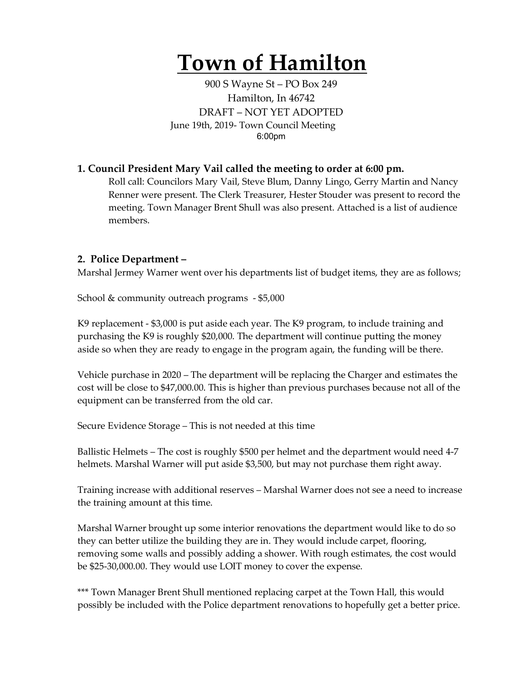# **Town of Hamilton**

900 S Wayne St – PO Box 249 Hamilton, In 46742 DRAFT – NOT YET ADOPTED June 19th, 2019- Town Council Meeting 6:00pm

### **1. Council President Mary Vail called the meeting to order at 6:00 pm.**

Roll call: Councilors Mary Vail, Steve Blum, Danny Lingo, Gerry Martin and Nancy Renner were present. The Clerk Treasurer, Hester Stouder was present to record the meeting. Town Manager Brent Shull was also present. Attached is a list of audience members.

#### **2. Police Department –**

Marshal Jermey Warner went over his departments list of budget items, they are as follows;

School & community outreach programs - \$5,000

K9 replacement - \$3,000 is put aside each year. The K9 program, to include training and purchasing the K9 is roughly \$20,000. The department will continue putting the money aside so when they are ready to engage in the program again, the funding will be there.

Vehicle purchase in 2020 – The department will be replacing the Charger and estimates the cost will be close to \$47,000.00. This is higher than previous purchases because not all of the equipment can be transferred from the old car.

Secure Evidence Storage – This is not needed at this time

Ballistic Helmets – The cost is roughly \$500 per helmet and the department would need 4-7 helmets. Marshal Warner will put aside \$3,500, but may not purchase them right away.

Training increase with additional reserves – Marshal Warner does not see a need to increase the training amount at this time.

Marshal Warner brought up some interior renovations the department would like to do so they can better utilize the building they are in. They would include carpet, flooring, removing some walls and possibly adding a shower. With rough estimates, the cost would be \$25-30,000.00. They would use LOIT money to cover the expense.

\*\*\* Town Manager Brent Shull mentioned replacing carpet at the Town Hall, this would possibly be included with the Police department renovations to hopefully get a better price.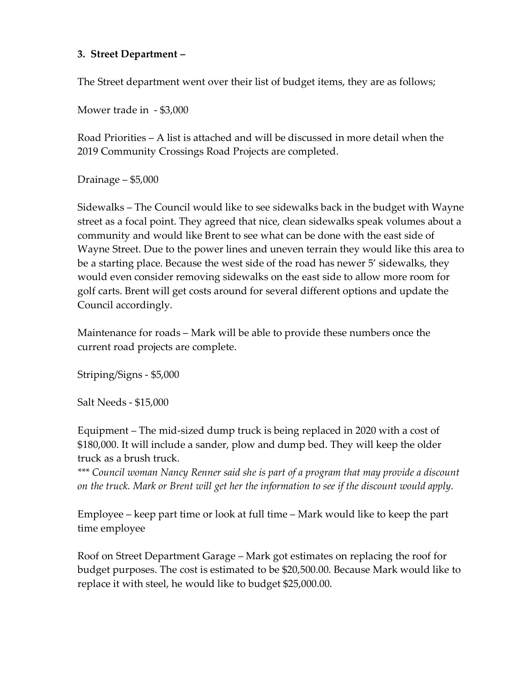## **3. Street Department –**

The Street department went over their list of budget items, they are as follows;

Mower trade in - \$3,000

Road Priorities – A list is attached and will be discussed in more detail when the 2019 Community Crossings Road Projects are completed.

Drainage – \$5,000

Sidewalks – The Council would like to see sidewalks back in the budget with Wayne street as a focal point. They agreed that nice, clean sidewalks speak volumes about a community and would like Brent to see what can be done with the east side of Wayne Street. Due to the power lines and uneven terrain they would like this area to be a starting place. Because the west side of the road has newer 5' sidewalks, they would even consider removing sidewalks on the east side to allow more room for golf carts. Brent will get costs around for several different options and update the Council accordingly.

Maintenance for roads – Mark will be able to provide these numbers once the current road projects are complete.

Striping/Signs - \$5,000

Salt Needs - \$15,000

Equipment – The mid-sized dump truck is being replaced in 2020 with a cost of \$180,000. It will include a sander, plow and dump bed. They will keep the older truck as a brush truck.

*\*\*\* Council woman Nancy Renner said she is part of a program that may provide a discount on the truck. Mark or Brent will get her the information to see if the discount would apply.* 

Employee – keep part time or look at full time – Mark would like to keep the part time employee

Roof on Street Department Garage – Mark got estimates on replacing the roof for budget purposes. The cost is estimated to be \$20,500.00. Because Mark would like to replace it with steel, he would like to budget \$25,000.00.